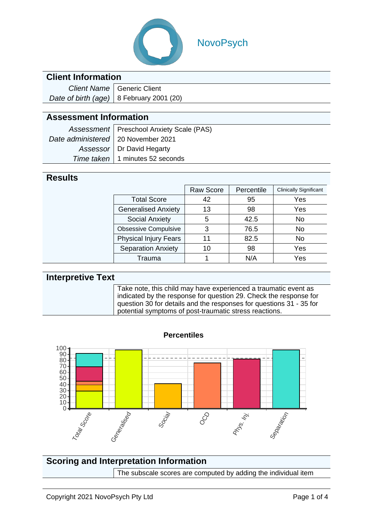

## NovoPsych

### **Client Information**

| Client Name   Generic Client               |  |  |
|--------------------------------------------|--|--|
| Date of birth (age)   8 February 2001 (20) |  |  |

### **Assessment Information**

|                                      | Assessment   Preschool Anxiety Scale (PAS) |
|--------------------------------------|--------------------------------------------|
| Date administered   20 November 2021 |                                            |
|                                      | Assessor   Dr David Hegarty                |
|                                      | Time taken   1 minutes 52 seconds          |

#### **Results**

|                              | <b>Raw Score</b> | Percentile | <b>Clinically Significant</b> |
|------------------------------|------------------|------------|-------------------------------|
| <b>Total Score</b>           | 42               | 95         | Yes                           |
| <b>Generalised Anxiety</b>   | 13               | 98         | Yes                           |
| <b>Social Anxiety</b>        | 5                | 42.5       | No                            |
| <b>Obsessive Compulsive</b>  | 3                | 76.5       | No                            |
| <b>Physical Injury Fears</b> | 11               | 82.5       | No                            |
| <b>Separation Anxiety</b>    | 10               | 98         | Yes                           |
| Trauma                       |                  | N/A        | Yes                           |

#### **Interpretive Text** Take note, this child may have experienced a traumatic event as indicated by the response for question 29. Check the response for question 30 for details and the responses for questions 31 - 35 for potential symptoms of post-traumatic stress reactions.

**Percentiles**



# **Scoring and Interpretation Information**

The subscale scores are computed by adding the individual item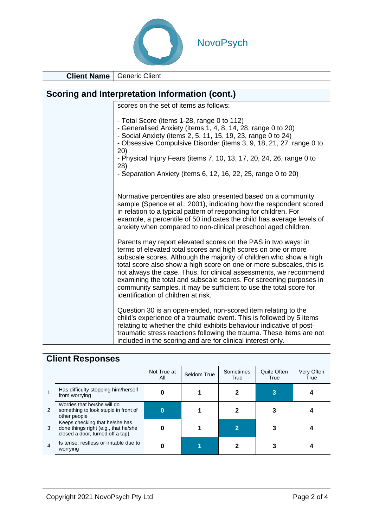

**Client Name** Generic Client

| Scoring and Interpretation Information (cont.) |                                                                                                                                                                                                                                                                                                                                                                                                                                                                                                                                      |  |  |  |  |  |
|------------------------------------------------|--------------------------------------------------------------------------------------------------------------------------------------------------------------------------------------------------------------------------------------------------------------------------------------------------------------------------------------------------------------------------------------------------------------------------------------------------------------------------------------------------------------------------------------|--|--|--|--|--|
|                                                | scores on the set of items as follows:                                                                                                                                                                                                                                                                                                                                                                                                                                                                                               |  |  |  |  |  |
|                                                | - Total Score (items 1-28, range 0 to 112)<br>- Generalised Anxiety (items 1, 4, 8, 14, 28, range 0 to 20)<br>- Social Anxiety (items 2, 5, 11, 15, 19, 23, range 0 to 24)<br>- Obsessive Compulsive Disorder (items 3, 9, 18, 21, 27, range 0 to<br>20)<br>- Physical Injury Fears (items 7, 10, 13, 17, 20, 24, 26, range 0 to<br>(28)<br>- Separation Anxiety (items $6, 12, 16, 22, 25$ , range 0 to $20$ )                                                                                                                      |  |  |  |  |  |
|                                                | Normative percentiles are also presented based on a community<br>sample (Spence et al., 2001), indicating how the respondent scored<br>in relation to a typical pattern of responding for children. For<br>example, a percentile of 50 indicates the child has average levels of<br>anxiety when compared to non-clinical preschool aged children.                                                                                                                                                                                   |  |  |  |  |  |
|                                                | Parents may report elevated scores on the PAS in two ways: in<br>terms of elevated total scores and high scores on one or more<br>subscale scores. Although the majority of children who show a high<br>total score also show a high score on one or more subscales, this is<br>not always the case. Thus, for clinical assessments, we recommend<br>examining the total and subscale scores. For screening purposes in<br>community samples, it may be sufficient to use the total score for<br>identification of children at risk. |  |  |  |  |  |
|                                                | Question 30 is an open-ended, non-scored item relating to the<br>child's experience of a traumatic event. This is followed by 5 items<br>relating to whether the child exhibits behaviour indicative of post-<br>traumatic stress reactions following the trauma. These items are not<br>included in the scoring and are for clinical interest only.                                                                                                                                                                                 |  |  |  |  |  |

## **Client Responses**

|                |                                                                                                            | Not True at<br>All | Seldom True | Sometimes<br>True | <b>Quite Often</b><br>True | Very Often<br>True |
|----------------|------------------------------------------------------------------------------------------------------------|--------------------|-------------|-------------------|----------------------------|--------------------|
| 1              | Has difficulty stopping him/herself<br>from worrying                                                       |                    |             |                   |                            |                    |
| 2              | Worries that he/she will do<br>something to look stupid in front of<br>other people                        | 0                  |             |                   |                            |                    |
| 3              | Keeps checking that he/she has<br>done things right (e.g., that he/she<br>closed a door, turned off a tap) |                    |             |                   |                            |                    |
| $\overline{4}$ | Is tense, restless or irritable due to<br>worrying                                                         |                    |             |                   |                            |                    |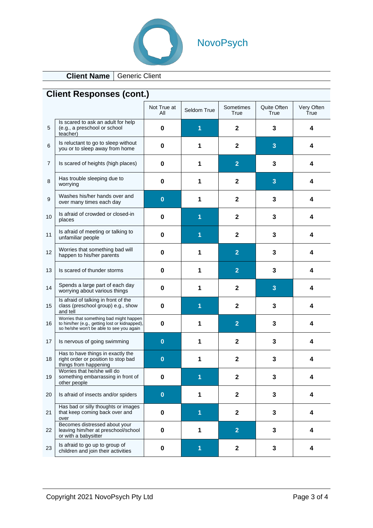

# NovoPsych

**Client Name** Generic Client

| <b>Client Responses (cont.)</b> |                                                                                                                                      |                    |             |                   |                     |                    |  |
|---------------------------------|--------------------------------------------------------------------------------------------------------------------------------------|--------------------|-------------|-------------------|---------------------|--------------------|--|
|                                 |                                                                                                                                      | Not True at<br>All | Seldom True | Sometimes<br>True | Quite Often<br>True | Very Often<br>True |  |
| 5                               | Is scared to ask an adult for help<br>(e.g., a preschool or school<br>teacher)                                                       | $\bf{0}$           | 1           | $\mathbf 2$       | 3                   | 4                  |  |
| 6                               | Is reluctant to go to sleep without<br>you or to sleep away from home                                                                | 0                  | 1           | $\mathbf 2$       | 3                   | 4                  |  |
| 7                               | Is scared of heights (high places)                                                                                                   | 0                  | 1           | $\overline{2}$    | 3                   | 4                  |  |
| 8                               | Has trouble sleeping due to<br>worrying                                                                                              | $\bf{0}$           | 1           | $\mathbf 2$       | 3                   | 4                  |  |
| 9                               | Washes his/her hands over and<br>over many times each day                                                                            | $\bf{0}$           | 1           | $\mathbf 2$       | 3                   | 4                  |  |
| 10                              | Is afraid of crowded or closed-in<br>places                                                                                          | 0                  | 1           | $\mathbf 2$       | 3                   | 4                  |  |
| 11                              | Is afraid of meeting or talking to<br>unfamiliar people                                                                              | 0                  | 1           | $\mathbf 2$       | 3                   | 4                  |  |
| 12                              | Worries that something bad will<br>happen to his/her parents                                                                         | 0                  | 1           | $\overline{2}$    | 3                   | 4                  |  |
| 13                              | Is scared of thunder storms                                                                                                          | 0                  | 1           | $\overline{2}$    | 3                   | 4                  |  |
| 14                              | Spends a large part of each day<br>worrying about various things                                                                     | 0                  | 1           | $\mathbf 2$       | 3                   | 4                  |  |
| 15                              | Is afraid of talking in front of the<br>class (preschool group) e.g., show<br>and tell                                               | 0                  | 1           | $\mathbf{2}$      | 3                   | 4                  |  |
| 16                              | Worries that something bad might happen<br>to him/her (e.g., getting lost or kidnapped),<br>so he/she won't be able to see you again | $\bf{0}$           | 1           | $\overline{2}$    | 3                   | 4                  |  |
| 17                              | Is nervous of going swimming                                                                                                         | $\bf{0}$           | 1           | $\mathbf 2$       | 3                   | 4                  |  |
| 18                              | Has to have things in exactly the<br>right order or position to stop bad<br>things from happening                                    | $\bf{0}$           | 1           | $\mathbf{2}$      | 3                   | 4                  |  |
| 19                              | Worries that he/she will do<br>something embarrassing in front of<br>other people                                                    | 0                  | 1           | $\mathbf{2}$      | 3                   | 4                  |  |
| 20                              | Is afraid of insects and/or spiders                                                                                                  | $\bf{0}$           | 1           | $\mathbf{2}$      | 3                   | 4                  |  |
| 21                              | Has bad or silly thoughts or images<br>that keep coming back over and<br>over                                                        | $\pmb{0}$          | 1           | $\mathbf 2$       | 3                   | 4                  |  |
| 22                              | Becomes distressed about your<br>leaving him/her at preschool/school<br>or with a babysitter                                         | 0                  | 1           | $\overline{2}$    | 3                   | 4                  |  |
| 23                              | Is afraid to go up to group of<br>children and join their activities                                                                 | $\pmb{0}$          | 1           | $\mathbf 2$       | 3                   | 4                  |  |